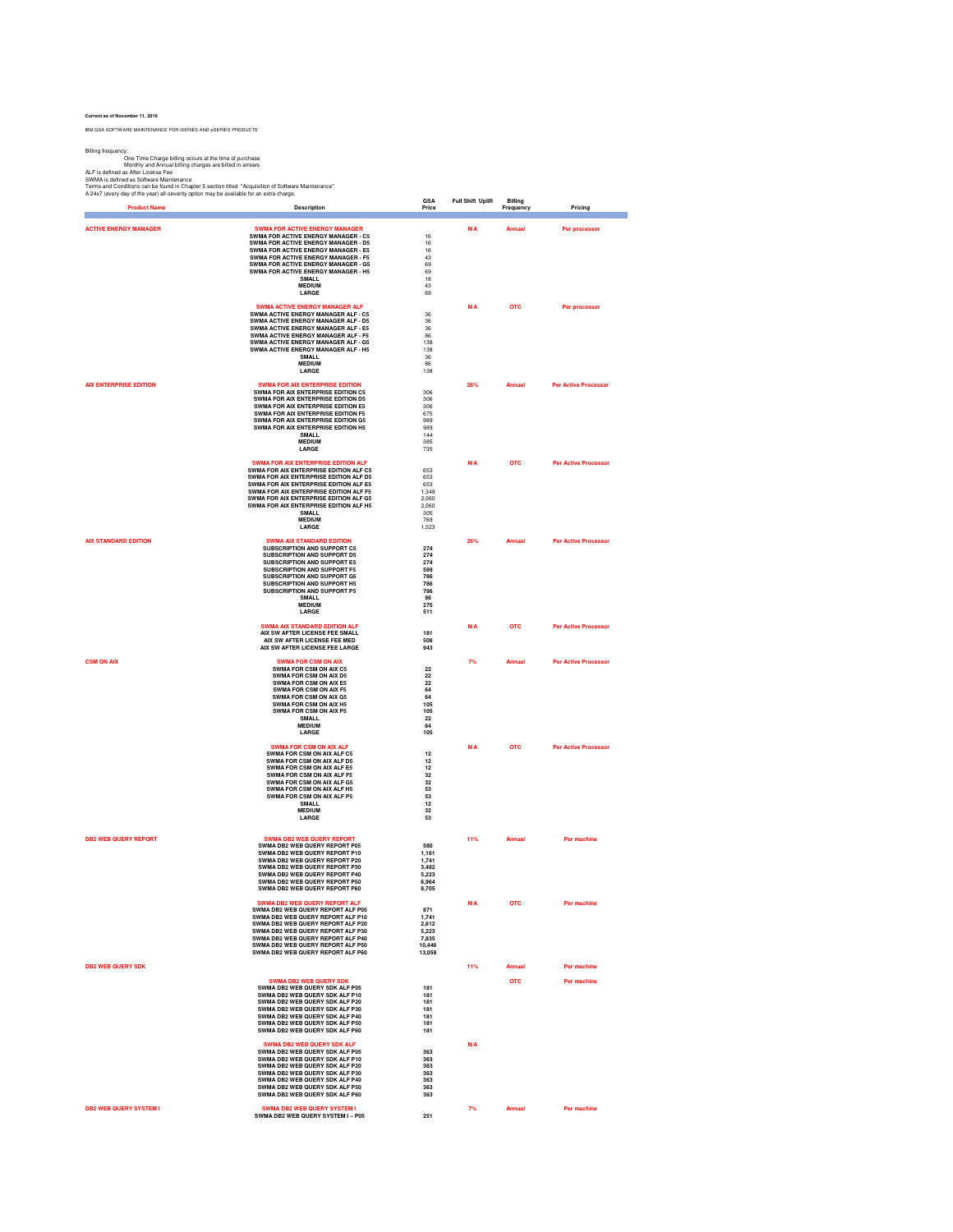## **Current as of November 11, 2016**

IBM GSA SOFTWARE MAINTENANCE FOR iSERIES AND pSERIES PRODUCTS

Billing frequency:<br>ALF is defined Morthly and Annual billing occurs at the time of purchase<br>ALF is defined Morthly and Annual billing charges are billed in arrears<br>Terms and Conditions can be depindent<br>Terms and Conditions

| <b>Product Name</b>           | <b>Description</b>                                                                   | Price           |     | Frequency  | Pricing                     |
|-------------------------------|--------------------------------------------------------------------------------------|-----------------|-----|------------|-----------------------------|
| <b>ACTIVE ENERGY MANAGER</b>  | <b>SWMA FOR ACTIVE ENERGY MANAGER</b><br><b>SWMA FOR ACTIVE ENERGY MANAGER - C5</b>  | 16              | N/A | Annual     | Per processor               |
|                               | <b>SWMA FOR ACTIVE ENERGY MANAGER - D5</b>                                           | 16              |     |            |                             |
|                               | SWMA FOR ACTIVE ENERGY MANAGER - E5<br>SWMA FOR ACTIVE ENERGY MANAGER - F5           | 16<br>43        |     |            |                             |
|                               | SWMA FOR ACTIVE ENERGY MANAGER - G5<br><b>SWMA FOR ACTIVE ENERGY MANAGER - H5</b>    | 69<br>69        |     |            |                             |
|                               | <b>SMALL</b>                                                                         | 18              |     |            |                             |
|                               | <b>MEDIUM</b><br>LARGE                                                               | 43<br>69        |     |            |                             |
|                               | <b>SWMA ACTIVE ENERGY MANAGER ALF</b>                                                |                 | N/A | <b>OTC</b> | Per processor               |
|                               | SWMA ACTIVE ENERGY MANAGER ALF - C5<br>SWMA ACTIVE ENERGY MANAGER ALF - D5           | 36<br>36        |     |            |                             |
|                               | SWMA ACTIVE ENERGY MANAGER ALF - E5                                                  | 36              |     |            |                             |
|                               | SWMA ACTIVE ENERGY MANAGER ALF - F5<br>SWMA ACTIVE ENERGY MANAGER ALF - G5           | 86<br>138       |     |            |                             |
|                               | SWMA ACTIVE ENERGY MANAGER ALF - H5<br><b>SMALL</b>                                  | 138<br>36       |     |            |                             |
|                               | <b>MEDIUM</b><br>LARGE                                                               | 86<br>138       |     |            |                             |
| <b>AIX ENTERPRISE EDITION</b> | <b>SWMA FOR AIX ENTERPRISE EDITION</b>                                               |                 | 26% | Annual     | <b>Per Active Processor</b> |
|                               | SWMA FOR AIX ENTERPRISE EDITION C5                                                   | 306             |     |            |                             |
|                               | SWMA FOR AIX ENTERPRISE EDITION D5<br>SWMA FOR AIX ENTERPRISE EDITION E5             | 306<br>306      |     |            |                             |
|                               | SWMA FOR AIX ENTERPRISE EDITION F5<br>SWMA FOR AIX ENTERPRISE EDITION G5             | 675<br>989      |     |            |                             |
|                               | SWMA FOR AIX ENTERPRISE EDITION H5                                                   | 989             |     |            |                             |
|                               | <b>SMALL</b><br><b>MEDIUM</b>                                                        | 144<br>385      |     |            |                             |
|                               | LARGE                                                                                | 735             |     |            |                             |
|                               | <b>SWMA FOR AIX ENTERPRISE EDITION ALF</b><br>SWMA FOR AIX ENTERPRISE EDITION ALF C5 | 653             | N/A | <b>OTC</b> | <b>Per Active Processor</b> |
|                               | SWMA FOR AIX ENTERPRISE EDITION ALF D5                                               | 653             |     |            |                             |
|                               | SWMA FOR AIX ENTERPRISE EDITION ALF E5<br>SWMA FOR AIX ENTERPRISE EDITION ALF F5     | 653<br>1,349    |     |            |                             |
|                               | SWMA FOR AIX ENTERPRISE EDITION ALF G5                                               | 2,060           |     |            |                             |
|                               | SWMA FOR AIX ENTERPRISE EDITION ALF H5<br><b>SMALL</b>                               | 2,060<br>305    |     |            |                             |
|                               | <b>MEDIUM</b><br>LARGE                                                               | 769<br>1,523    |     |            |                             |
| <b>AIX STANDARD EDITION</b>   | <b>SWMA AIX STANDARD EDITION</b>                                                     |                 | 26% | Annual     |                             |
|                               | SUBSCRIPTION AND SUPPORT C5                                                          | 274             |     |            | <b>Per Active Processor</b> |
|                               | SUBSCRIPTION AND SUPPORT D5<br>SUBSCRIPTION AND SUPPORT E5                           | 274<br>274      |     |            |                             |
|                               | <b>SUBSCRIPTION AND SUPPORT F5</b>                                                   | 589             |     |            |                             |
|                               | SUBSCRIPTION AND SUPPORT G5<br>SUBSCRIPTION AND SUPPORT H5                           | 786<br>786      |     |            |                             |
|                               | SUBSCRIPTION AND SUPPORT P5<br>SMALL                                                 | 786<br>98       |     |            |                             |
|                               | MEDIUM                                                                               | 275             |     |            |                             |
|                               | LARGE                                                                                | 511             |     |            |                             |
|                               | <b>SWMA AIX STANDARD EDITION ALF</b><br>AIX SW AFTER LICENSE FEE SMALL               | 181             | N/A | <b>OTC</b> | <b>Per Active Processor</b> |
|                               | AIX SW AFTER LICENSE FEE MED<br>AIX SW AFTER LICENSE FEE LARGE                       | 508<br>943      |     |            |                             |
|                               |                                                                                      |                 |     |            |                             |
| <b>CSM ON AIX</b>             | <b>SWMA FOR CSM ON AIX</b><br>SWMA FOR CSM ON AIX C5                                 | 22              | 7%  | Annual     | <b>Per Active Processor</b> |
|                               | SWMA FOR CSM ON AIX D5<br>SWMA FOR CSM ON AIX E5                                     | 22<br>22        |     |            |                             |
|                               | SWMA FOR CSM ON AIX F5                                                               | 64              |     |            |                             |
|                               | SWMA FOR CSM ON AIX G5<br>SWMA FOR CSM ON AIX H5                                     | 64<br>105       |     |            |                             |
|                               | SWMA FOR CSM ON AIX P5                                                               | 105             |     |            |                             |
|                               | <b>SMALL</b><br>MEDIUM                                                               | 22<br>64        |     |            |                             |
|                               | LARGE                                                                                | 105             |     |            |                             |
|                               | <b>SWMA FOR CSM ON AIX ALF</b><br>SWMA FOR CSM ON AIX ALF C5                         | 12              | N/A | <b>OTC</b> | <b>Per Active Processor</b> |
|                               | SWMA FOR CSM ON AIX ALF D5                                                           | $12\,$          |     |            |                             |
|                               | SWMA FOR CSM ON AIX ALF E5<br>SWMA FOR CSM ON AIX ALF F5                             | 12<br>32        |     |            |                             |
|                               | SWMA FOR CSM ON AIX ALF G5<br>SWMA FOR CSM ON AIX ALF H5                             | 32<br>53        |     |            |                             |
|                               | SWMA FOR CSM ON AIX ALF P5                                                           | 53              |     |            |                             |
|                               | SMALL<br>MEDIUM                                                                      | 12<br>32        |     |            |                             |
|                               | LARGE                                                                                | 53              |     |            |                             |
| <b>DB2 WEB QUERY REPORT</b>   | <b>SWMA DB2 WEB QUERY REPORT</b>                                                     |                 | 11% | Annual     | Per machine                 |
|                               | SWMA DB2 WEB QUERY REPORT P05                                                        | 580             |     |            |                             |
|                               | SWMA DB2 WEB QUERY REPORT P10<br>SWMA DB2 WEB QUERY REPORT P20                       | 1,161<br>1,741  |     |            |                             |
|                               | SWMA DB2 WEB QUERY REPORT P30                                                        | 3,482           |     |            |                             |
|                               | SWMA DB2 WEB QUERY REPORT P40<br>SWMA DB2 WEB QUERY REPORT P50                       | 5,223<br>6,964  |     |            |                             |
|                               | SWMA DB2 WEB QUERY REPORT P60                                                        | 8,705           |     |            |                             |
|                               | SWMA DB2 WEB QUERY REPORT ALF<br>SWMA DB2 WEB QUERY REPORT ALF P05                   | 871             | N/A | <b>OTC</b> | Per machine                 |
|                               | SWMA DB2 WEB QUERY REPORT ALF P10                                                    | 1,741           |     |            |                             |
|                               | SWMA DB2 WEB QUERY REPORT ALF P20<br>SWMA DB2 WEB QUERY REPORT ALF P30               | 2,612<br>5,223  |     |            |                             |
|                               | SWMA DB2 WEB QUERY REPORT ALF P40<br>SWMA DB2 WEB QUERY REPORT ALF P50               | 7,835<br>10.446 |     |            |                             |
|                               | SWMA DB2 WEB QUERY REPORT ALF P60                                                    | 13,058          |     |            |                             |
| <b>DB2 WEB QUERY SDK</b>      |                                                                                      |                 | 11% | Annual     | <b>Per machine</b>          |
|                               | <b>SWMA DB2 WEB QUERY SDK</b>                                                        |                 |     | <b>OTC</b> | Per machine                 |
|                               | SWMA DB2 WEB QUERY SDK ALF P05<br>SWMA DB2 WEB QUERY SDK ALF P10                     | 181<br>181      |     |            |                             |
|                               | SWMA DB2 WEB QUERY SDK ALF P20                                                       | 181             |     |            |                             |
|                               | SWMA DB2 WEB QUERY SDK ALF P30<br>SWMA DB2 WEB QUERY SDK ALF P40                     | 181<br>181      |     |            |                             |
|                               | SWMA DB2 WEB QUERY SDK ALF P50                                                       | 181             |     |            |                             |
|                               | SWMA DB2 WEB QUERY SDK ALF P60                                                       | 181             |     |            |                             |
|                               | SWMA DB2 WEB QUERY SDK ALF<br>SWMA DB2 WEB QUERY SDK ALF P05                         | 363             | N/A |            |                             |
|                               | SWMA DB2 WEB QUERY SDK ALF P10<br>SWMA DB2 WEB QUERY SDK ALF P20                     | 363<br>363      |     |            |                             |
|                               | SWMA DB2 WEB QUERY SDK ALF P30                                                       | 363             |     |            |                             |
|                               | SWMA DB2 WEB QUERY SDK ALF P40<br>SWMA DB2 WEB QUERY SDK ALF P50                     | 363<br>363      |     |            |                             |
|                               | SWMA DB2 WEB QUERY SDK ALF P60                                                       | 363             |     |            |                             |
| <b>DB2 WEB QUERY SYSTEM I</b> | SWMA DB2 WEB QUERY SYSTEM I                                                          |                 | 7%  | Annual     | Per machine                 |
|                               | SWMA DB2 WEB QUERY SYSTEM I - P05                                                    | 251             |     |            |                             |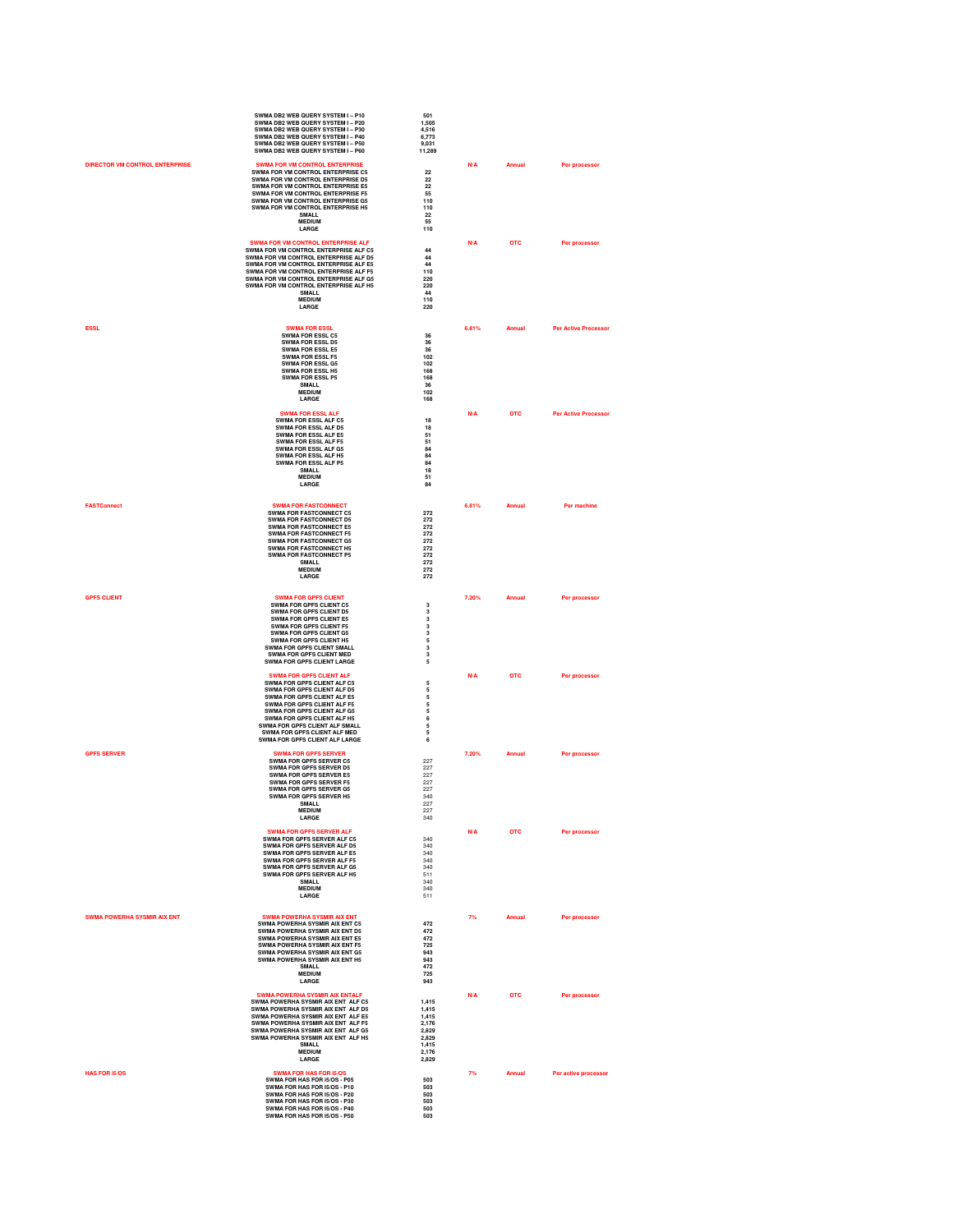|                                    | SWMA DB2 WEB QUERY SYSTEM I - P10<br>SWMA DB2 WEB QUERY SYSTEM I - P20<br>SWMA DB2 WEB QUERY SYSTEM I - P30<br>SWMA DB2 WEB QUERY SYSTEM I - P40<br>SWMA DB2 WEB QUERY SYSTEM I - P50<br>SWMA DB2 WEB QUERY SYSTEM I - P60                                                                                                         | 501<br>1,505<br>4,516<br>6,773<br>9,031<br>11,289                             |       |               |                             |
|------------------------------------|------------------------------------------------------------------------------------------------------------------------------------------------------------------------------------------------------------------------------------------------------------------------------------------------------------------------------------|-------------------------------------------------------------------------------|-------|---------------|-----------------------------|
| DIRECTOR VM CONTROL ENTERPRISE     | <b>SWMA FOR VM CONTROL ENTERPRISE</b><br>SWMA FOR VM CONTROL ENTERPRISE C5<br>SWMA FOR VM CONTROL ENTERPRISE D5<br>SWMA FOR VM CONTROL ENTERPRISE E5<br>SWMA FOR VM CONTROL ENTERPRISE F5<br>SWMA FOR VM CONTROL ENTERPRISE G5<br>SWMA FOR VM CONTROL ENTERPRISE H5<br><b>SMALL</b>                                                | 22<br>22<br>22<br>55<br>110<br>110                                            | N/A   | Annual        | Per processor               |
|                                    | <b>MEDIUM</b><br>LARGE                                                                                                                                                                                                                                                                                                             | 22<br>55<br>110                                                               |       |               |                             |
|                                    | SWMA FOR VM CONTROL ENTERPRISE ALF<br>SWMA FOR VM CONTROL ENTERPRISE ALF C5<br>SWMA FOR VM CONTROL ENTERPRISE ALF D5<br>SWMA FOR VM CONTROL ENTERPRISE ALF E5<br>SWMA FOR VM CONTROL ENTERPRISE ALF F5<br>SWMA FOR VM CONTROL ENTERPRISE ALF G5<br>SWMA FOR VM CONTROL ENTERPRISE ALF H5<br><b>SMALL</b><br><b>MEDIUM</b><br>LARGE | 44<br>44<br>44<br>110<br>220<br>220<br>44<br>110<br>220                       | N/A   | <b>OTC</b>    | Per processor               |
| <b>ESSL</b>                        | <b>SWMA FOR ESSL</b><br><b>SWMA FOR ESSL C5</b><br>SWMA FOR ESSL D5<br>SWMA FOR ESSL E5<br>SWMA FOR ESSL F5<br>SWMA FOR ESSL G5<br>SWMA FOR ESSL H5<br>SWMA FOR ESSL P5<br><b>SMALL</b><br><b>MEDIUM</b>                                                                                                                           | 36<br>36<br>36<br>102<br>102<br>168<br>168<br>36<br>102                       | 6.81% | <b>Annual</b> | <b>Per Active Processor</b> |
|                                    | LARGE<br><b>SWMA FOR ESSL ALF</b><br>SWMA FOR ESSL ALF C5<br>SWMA FOR ESSL ALF D5<br><b>SWMA FOR ESSL ALF E5</b><br>SWMA FOR ESSL ALF F5<br>SWMA FOR ESSL ALF G5<br>SWMA FOR ESSL ALF H5<br>SWMA FOR ESSL ALF P5<br><b>SMALL</b><br><b>MEDIUM</b><br>LARGE                                                                         | 168<br>18<br>18<br>51<br>51<br>84<br>84<br>84<br>18<br>51<br>84               | N/A   | OTC.          | <b>Per Active Processor</b> |
| <b>FASTConnect</b>                 | <b>SWMA FOR FASTCONNECT</b><br><b>SWMA FOR FASTCONNECT C5</b><br><b>SWMA FOR FASTCONNECT D5</b><br><b>SWMA FOR FASTCONNECT E5</b><br><b>SWMA FOR FASTCONNECT F5</b><br>SWMA FOR FASTCONNECT G5<br>SWMA FOR FASTCONNECT H5<br><b>SWMA FOR FASTCONNECT P5</b><br><b>SMALL</b><br><b>MEDIUM</b><br>LARGE                              | 272<br>272<br>272<br>272<br>272<br>272<br>272<br>272<br>272<br>272            | 6.81% | Annual        | Per machine                 |
| <b>GPFS CLIENT</b>                 | <b>SWMA FOR GPFS CLIENT</b><br><b>SWMA FOR GPFS CLIENT C5</b><br>SWMA FOR GPFS CLIENT D5<br><b>SWMA FOR GPFS CLIENT E5</b><br><b>SWMA FOR GPFS CLIENT F5</b><br>SWMA FOR GPFS CLIENT G5<br>SWMA FOR GPFS CLIENT H5<br>SWMA FOR GPFS CLIENT SMALL<br>SWMA FOR GPFS CLIENT MED<br>SWMA FOR GPFS CLIENT LARGE                         | 3<br>3<br>3<br>3<br>3<br>5<br>3<br>3<br>5                                     | 7.20% | <b>Annual</b> | Per processor               |
|                                    | <b>SWMA FOR GPFS CLIENT ALF</b><br>SWMA FOR GPFS CLIENT ALF C5<br>SWMA FOR GPFS CLIENT ALF D5<br>SWMA FOR GPFS CLIENT ALF E5<br>SWMA FOR GPFS CLIENT ALF F5<br>SWMA FOR GPFS CLIENT ALF G5<br>SWMA FOR GPFS CLIENT ALF H5<br>SWMA FOR GPFS CLIENT ALF SMALL<br>SWMA FOR GPFS CLIENT ALF MED<br>SWMA FOR GPFS CLIENT ALF LARGE      | 5<br>5<br>5<br>5<br>5<br>6<br>5<br>5<br>6                                     | N/A   | <b>OTC</b>    | Per processor               |
| <b>GPFS SERVER</b>                 | <b>SWMA FOR GPFS SERVER</b><br>SWMA FOR GPFS SERVER C5<br>SWMA FOR GPFS SERVER D5<br>SWMA FOR GPFS SERVER E5<br>SWMA FOR GPFS SERVER F5<br>SWMA FOR GPFS SERVER G5<br>SWMA FOR GPFS SERVER H5<br><b>SMALL</b><br><b>MEDIUM</b><br>LARGE                                                                                            | 227<br>227<br>227<br>227<br>227<br>340<br>227<br>227<br>340                   | 7.20% | Annual        | Per processor               |
|                                    | <b>SWMA FOR GPFS SERVER ALF</b><br>SWMA FOR GPFS SERVER ALF C5<br>SWMA FOR GPFS SERVER ALF D5<br>SWMA FOR GPFS SERVER ALF E5<br>SWMA FOR GPFS SERVER ALF F5<br>SWMA FOR GPFS SERVER ALF G5<br>SWMA FOR GPFS SERVER ALF H5<br><b>SMALL</b><br><b>MEDIUM</b><br>LARGE                                                                | 340<br>340<br>340<br>340<br>340<br>511<br>340<br>340<br>511                   | N/A   | <b>OTC</b>    | Per processor               |
| <b>SWMA POWERHA SYSMIR AIX ENT</b> | <b>SWMA POWERHA SYSMIR AIX ENT</b><br><b>SWMA POWERHA SYSMIR AIX ENT C5</b><br>SWMA POWERHA SYSMIR AIX ENT D5<br>SWMA POWERHA SYSMIR AIX ENT E5<br>SWMA POWERHA SYSMIR AIX ENT F5<br>SWMA POWERHA SYSMIR AIX ENT G5<br>SWMA POWERHA SYSMIR AIX ENT H5<br>SMALL.<br><b>MEDIUM</b><br>LARGE                                          | 472<br>472<br>472<br>725<br>943<br>943<br>472<br>725<br>943                   | 7%    | Annual        | Per processor               |
|                                    | <b>SWMA POWERHA SYSMIR AIX ENTALF</b><br>SWMA POWERHA SYSMIR AIX ENT ALF C5<br>SWMA POWERHA SYSMIR AIX ENT ALF D5<br>SWMA POWERHA SYSMIR AIX ENT ALF E5<br>SWMA POWERHA SYSMIR AIX ENT ALF F5<br>SWMA POWERHA SYSMIR AIX ENT ALF G5<br>SWMA POWERHA SYSMIR AIX ENT ALF H5<br><b>SMALL</b><br><b>MEDIUM</b><br>LARGE                | 1,415<br>1,415<br>1,415<br>2,176<br>2,829<br>2,829<br>1,415<br>2,176<br>2,829 | N/A   | <b>OTC</b>    | Per processor               |
| <b>HAS FOR I5/OS</b>               | <b>SWMA FOR HAS FOR 15/OS</b><br>SWMA FOR HAS FOR 15/OS - P05<br>SWMA FOR HAS FOR 15/OS - P10<br>SWMA FOR HAS FOR I5/OS - P20<br>SWMA FOR HAS FOR 15/OS - P30<br>SWMA FOR HAS FOR 15/OS - P40<br>SWMA FOR HAS FOR I5/OS - P50                                                                                                      | 503<br>503<br>503<br>503<br>503<br>503                                        | 7%    | Annual        | Per active processor        |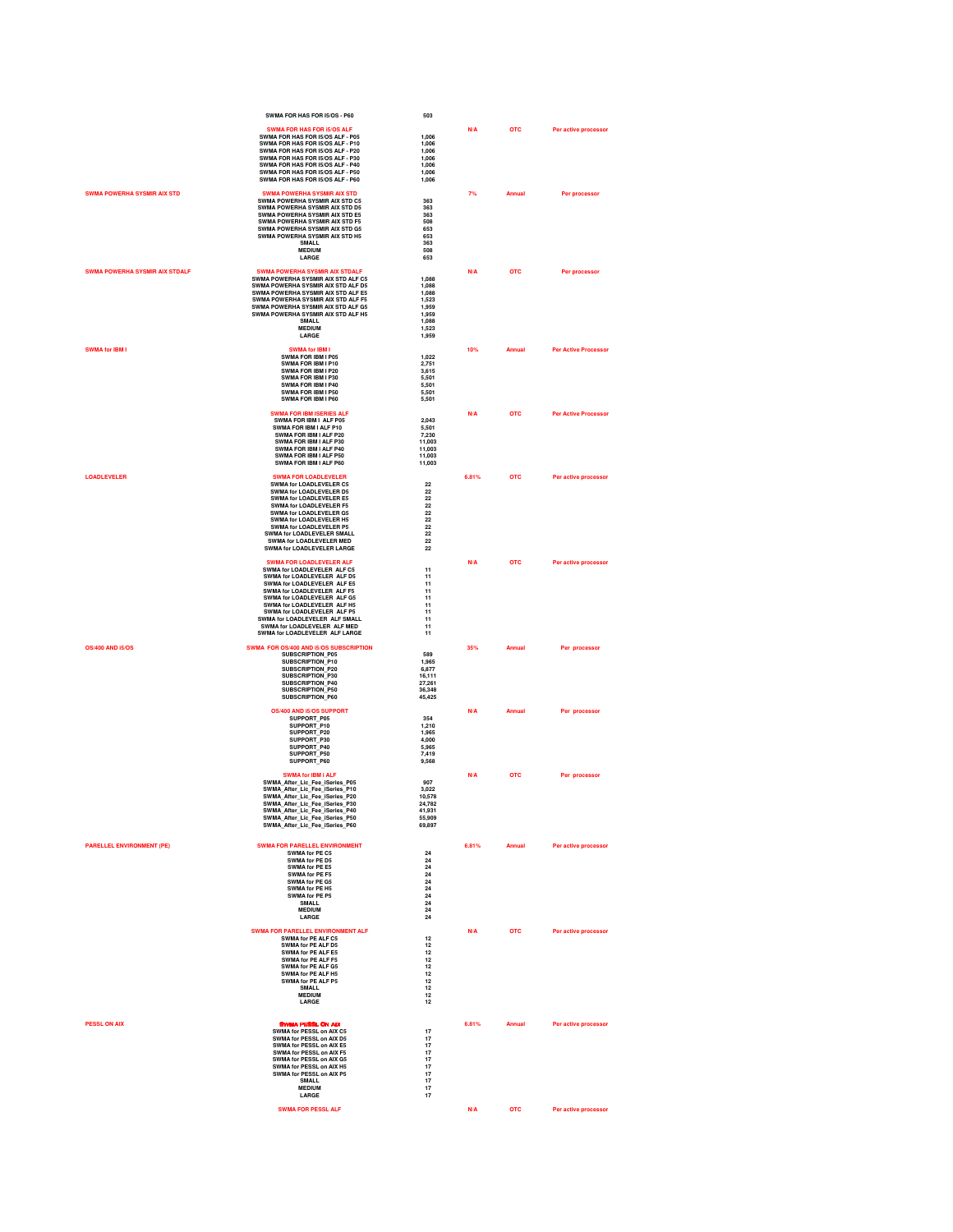|                                    | SWMA FOR HAS FOR 15/OS - P60                                                                                                                                                                                                                                                                                                                                 | 503                                                                           |       |               |                             |
|------------------------------------|--------------------------------------------------------------------------------------------------------------------------------------------------------------------------------------------------------------------------------------------------------------------------------------------------------------------------------------------------------------|-------------------------------------------------------------------------------|-------|---------------|-----------------------------|
|                                    | <b>SWMA FOR HAS FOR 15/OS ALF</b><br>SWMA FOR HAS FOR 15/OS ALF - P05<br>SWMA FOR HAS FOR 15/OS ALF - P10<br>SWMA FOR HAS FOR 15/OS ALF - P20<br>SWMA FOR HAS FOR 15/OS ALF - P30<br>SWMA FOR HAS FOR 15/OS ALF - P40<br>SWMA FOR HAS FOR 15/OS ALF - P50<br>SWMA FOR HAS FOR I5/OS ALF - P60                                                                | 1.006<br>1,006<br>1,006<br>1,006<br>1,006<br>1,006<br>1,006                   | N/A   | <b>OTC</b>    | Per active processor        |
| <b>SWMA POWERHA SYSMIR AIX STD</b> | <b>SWMA POWERHA SYSMIR AIX STD</b><br>SWMA POWERHA SYSMIR AIX STD C5<br>SWMA POWERHA SYSMIR AIX STD D5<br>SWMA POWERHA SYSMIR AIX STD E5<br>SWMA POWERHA SYSMIR AIX STD F5<br>SWMA POWERHA SYSMIR AIX STD G5<br>SWMA POWERHA SYSMIR AIX STD H5<br><b>SMALL</b><br>MEDIUM<br>LARGE                                                                            | 363<br>363<br>363<br>508<br>653<br>653<br>363<br>508<br>653                   | 7%    | <b>Annual</b> | Per processor               |
| SWMA POWERHA SYSMIR AIX STDALF     | <b>SWMA POWERHA SYSMIR AIX STDALF</b><br>SWMA POWERHA SYSMIR AIX STD ALF C5<br>SWMA POWERHA SYSMIR AIX STD ALF D5<br>SWMA POWERHA SYSMIR AIX STD ALF E5<br>SWMA POWERHA SYSMIR AIX STD ALF F5<br>SWMA POWERHA SYSMIR AIX STD ALF G5<br>SWMA POWERHA SYSMIR AIX STD ALF H5<br>SMALL<br><b>MEDIUM</b><br>LARGE                                                 | 1.088<br>1.088<br>1,088<br>1.523<br>1.959<br>1.959<br>1,088<br>1,523<br>1,959 | N/A   | <b>OTC</b>    | Per processor               |
| <b>SWMA for IBM I</b>              | <b>SWMA for IBM I</b><br>SWMA FOR IBM I P05<br>SWMA FOR IBM I P10<br>SWMA FOR IBM I P20<br>SWMA FOR IBM I P30<br>SWMA FOR IBM I P40<br>SWMA FOR IBM I P50<br>SWMA FOR IBM I P60                                                                                                                                                                              | 1,022<br>2,751<br>3,615<br>5,501<br>5,501<br>5,501<br>5,501                   | 10%   | Annual        | <b>Per Active Processor</b> |
|                                    | <b>SWMA FOR IBM ISERIES ALF</b><br>SWMA FOR IBM I ALF P05<br>SWMA FOR IBM I ALF P10<br>SWMA FOR IBM I ALF P20<br>SWMA FOR IBM I ALF P30<br>SWMA FOR IBM I ALF P40<br>SWMA FOR IBM I ALF P50<br>SWMA FOR IBM I ALF P60                                                                                                                                        | 2,043<br>5,501<br>7,230<br>11,003<br>11,003<br>11,003<br>11,003               | N/A   | <b>OTC</b>    | <b>Per Active Processor</b> |
| <b>LOADLEVELER</b>                 | <b>SWMA FOR LOADLEVELER</b><br>SWMA for LOADLEVELER C5<br>SWMA for LOADLEVELER D5<br>SWMA for LOADLEVELER E5<br><b>SWMA for LOADLEVELER F5</b><br>SWMA for LOADLEVELER G5<br>SWMA for LOADLEVELER H5<br>SWMA for LOADLEVELER P5<br>SWMA for LOADLEVELER SMALL<br>SWMA for LOADLEVELER MED<br>SWMA for LOADLEVELER LARGE                                      | 22<br>22<br>22<br>22<br>22<br>22<br>22<br>22<br>22<br>22                      | 6.81% | <b>OTC</b>    | Per active processor        |
|                                    | <b>SWMA FOR LOADLEVELER ALF</b><br>SWMA for LOADLEVELER ALF C5<br>SWMA for LOADLEVELER ALF D5<br>SWMA for LOADLEVELER ALF E5<br>SWMA for LOADLEVELER ALF F5<br>SWMA for LOADLEVELER ALF G5<br>SWMA for LOADLEVELER ALF H5<br>SWMA for LOADLEVELER ALF P5<br>SWMA for LOADLEVELER ALF SMALL<br>SWMA for LOADLEVELER ALF MED<br>SWMA for LOADLEVELER ALF LARGE | 11<br>11<br>11<br>11<br>11<br>11<br>11<br>11<br>11<br>11                      | N/A   | <b>OTC</b>    | Per active processor        |
| <b>OS/400 AND I5/OS</b>            | SWMA FOR OS/400 AND 15/OS SUBSCRIPTION<br>SUBSCRIPTION P05<br>SUBSCRIPTION P10<br>SUBSCRIPTION P20<br>SUBSCRIPTION P30<br><b>SUBSCRIPTION P40</b><br><b>SUBSCRIPTION P50</b><br><b>SUBSCRIPTION P60</b>                                                                                                                                                      | 589<br>1.965<br>6,877<br>16,111<br>27,261<br>36,348<br>45,425                 | 35%   | Annual        | Per processor               |
|                                    | OS/400 AND I5/OS SUPPORT<br>SUPPORT_P05<br>SUPPORT_P10<br>SUPPORT_P20<br>SUPPORT_P30<br>SUPPORT_P40<br>SUPPORT_P50<br>SUPPORT_P60                                                                                                                                                                                                                            | 354<br>1,210<br>1,965<br>4,000<br>5,965<br>7,419<br>9,568                     | N/A   | Annual        | Per processor               |
|                                    | <b>SWMA for IBM i ALF</b><br>SWMA_After_Lic_Fee_iSeries_P05<br>SWMA_After_Lic_Fee_iSeries_P10<br>SWMA_After_Lic_Fee_iSeries_P20<br>SWMA_After_Lic_Fee_iSeries_P30<br>SWMA After Lic Fee iSeries P40<br>SWMA After Lic Fee iSeries P50<br>SWMA_After_Lic_Fee_iSeries_P60                                                                                      | 907<br>3,022<br>10,578<br>24,782<br>41.931<br>55,909<br>69,897                | N/A   | <b>OTC</b>    | Per processor               |
| <b>PARELLEL ENVIRONMENT (PE)</b>   | <b>SWMA FOR PARELLEL ENVIRONMENT</b><br>SWMA for PF C5<br>SWMA for PE D5<br>SWMA for PE E5<br>SWMA for PE F5<br>SWMA for PE G5<br>SWMA for PE H5<br>SWMA for PE P5<br><b>SMALL</b><br><b>MEDIUM</b><br>LARGE                                                                                                                                                 | 24<br>24<br>24<br>24<br>24<br>24<br>24<br>24<br>24<br>24                      | 6.81% | Annual        | Per active processor        |
|                                    | <b>SWMA FOR PARELLEL ENVIRONMENT ALF</b><br>SWMA for PE ALF C5<br>SWMA for PE ALF D5<br>SWMA for PE ALF E5<br>SWMA for PE ALF F5<br>SWMA for PE ALF G5<br>SWMA for PE ALF H5<br>SWMA for PE ALF P5<br><b>SMALL</b><br><b>MEDIUM</b><br>LARGE                                                                                                                 | $12$<br>$12$<br>$12$<br>$12$<br>$12$<br>$12$<br>12<br>12<br>12<br>12          | N/A   | <b>OTC</b>    | Per active processor        |
| <b>PESSL ON AIX</b>                | SWMA PESSL ON AIX<br>SWMA for PESSL on AIX C5<br>SWMA for PESSL on AIX D5<br>SWMA for PESSL on AIX E5<br>SWMA for PESSL on AIX F5<br>SWMA for PESSL on AIX G5<br>SWMA for PESSL on AIX H5<br>SWMA for PESSL on AIX P5<br><b>SMALL</b><br><b>MEDIUM</b><br>LARGE                                                                                              | 17<br>17<br>17<br>17<br>17<br>17<br>17<br>17<br>17<br>17                      | 6.81% | Annual        | Per active processor        |
|                                    | <b>SWMA FOR PESSL ALF</b>                                                                                                                                                                                                                                                                                                                                    |                                                                               | N/A   | <b>OTC</b>    | Per active processor        |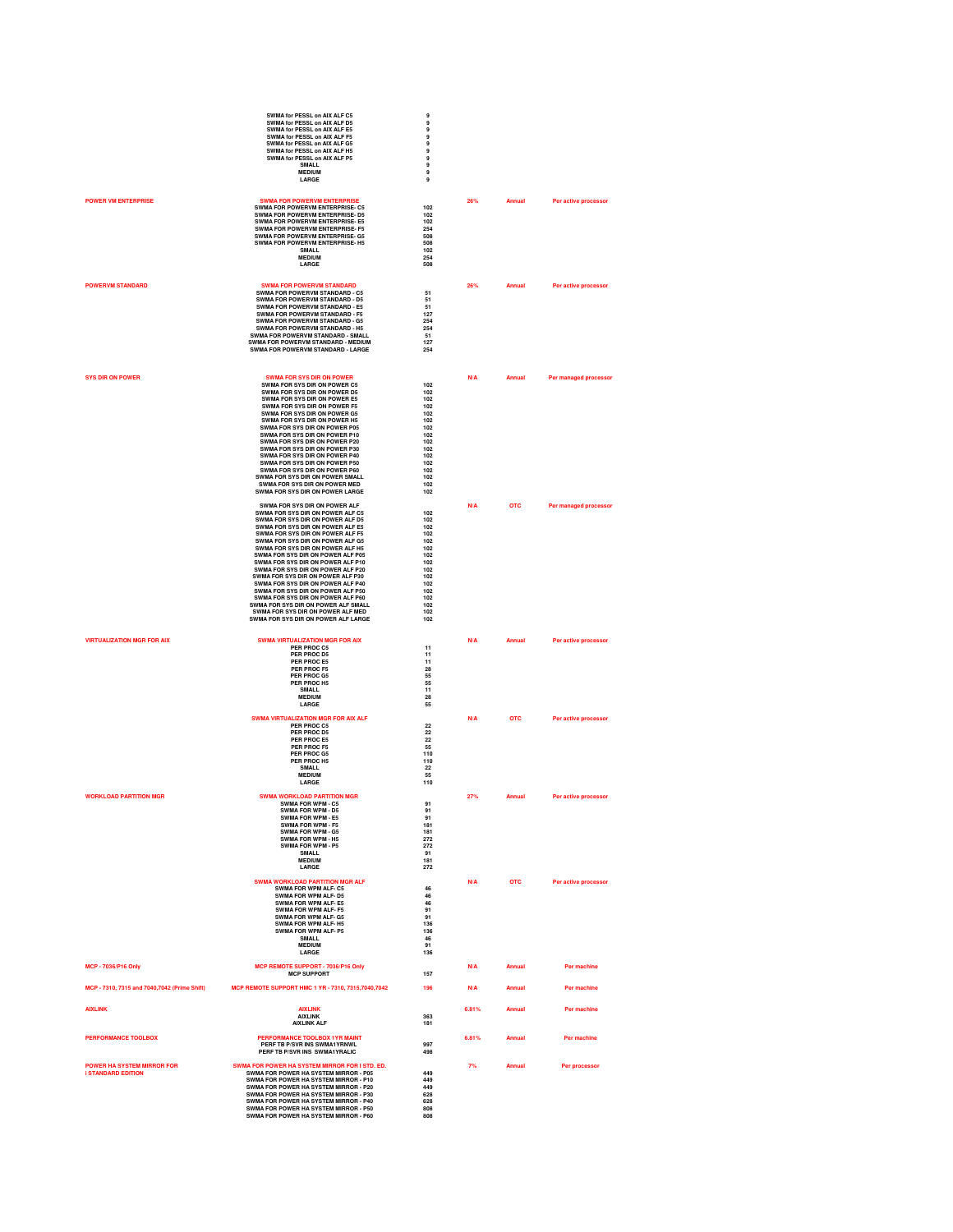| <b>AIXLINK</b><br>PERFORMANCE TOOLBOX<br>POWER HA SYSTEM MIRROR FOR | <b>AIXLINK</b><br><b>AIXLINK</b><br><b>AIXLINK ALF</b><br>PERFORMANCE TOOLBOX 1YR MAINT<br>PERF TB P/SVR INS SWMA1YRNWL<br>PERF TB P/SVR INS SWMA1YRALIC<br>SWMA FOR POWER HA SYSTEM MIRROR FOR I STD. ED. | 363<br>181<br>997<br>498 | 6.81%<br>6.81%<br>7% | <b>Annual</b><br>Annual | Per machine<br>Per processor |
|---------------------------------------------------------------------|------------------------------------------------------------------------------------------------------------------------------------------------------------------------------------------------------------|--------------------------|----------------------|-------------------------|------------------------------|
|                                                                     |                                                                                                                                                                                                            |                          |                      |                         |                              |
|                                                                     |                                                                                                                                                                                                            |                          |                      |                         |                              |
| MCP - 7310, 7315 and 7040, 7042 (Prime Shift)                       |                                                                                                                                                                                                            |                          |                      | <b>Annual</b>           | Per machine                  |
|                                                                     | <b>MCP SUPPORT</b><br>MCP REMOTE SUPPORT HMC 1 YR - 7310, 7315,7040,7042                                                                                                                                   | 157<br>196               | N/A                  | <b>Annual</b>           | Per machine                  |
| <b>MCP - 7036/P16 Only</b>                                          | LARGE<br>MCP REMOTE SUPPORT - 7036/P16 Only                                                                                                                                                                | 136                      | N/A                  | Annual                  | <b>Per machine</b>           |
|                                                                     | <b>SMALL</b><br><b>MEDIUM</b>                                                                                                                                                                              | 46<br>91                 |                      |                         |                              |
|                                                                     | SWMA FOR WPM ALF- H5<br>SWMA FOR WPM ALF- P5                                                                                                                                                               | 136<br>136               |                      |                         |                              |
|                                                                     | SWMA FOR WPM ALF- E5<br>SWMA FOR WPM ALF- F5<br>SWMA FOR WPM ALF- G5                                                                                                                                       | 46<br>91<br>91           |                      |                         |                              |
|                                                                     | SWMA FOR WPM ALF- C5<br>SWMA FOR WPM ALF-D5                                                                                                                                                                | 46<br>46                 |                      |                         |                              |
|                                                                     | <b>SWMA WORKLOAD PARTITION MGR ALF</b>                                                                                                                                                                     |                          | N/A                  | <b>OTC</b>              | Per active processor         |
|                                                                     | <b>SMALL</b><br><b>MEDIUM</b><br>LARGE                                                                                                                                                                     | 91<br>181<br>272         |                      |                         |                              |
|                                                                     | SWMA FOR WPM - H5<br>SWMA FOR WPM - P5                                                                                                                                                                     | 272<br>272               |                      |                         |                              |
|                                                                     | SWMA FOR WPM - F5<br>SWMA FOR WPM - G5                                                                                                                                                                     | 181<br>181               |                      |                         |                              |
|                                                                     | CWMA COD WDM - DE<br>SWMA FOR WPM - E5                                                                                                                                                                     | 91                       |                      |                         |                              |
| <b>WORKLOAD PARTITION MGR</b>                                       | <b>SWMA WORKLOAD PARTITION MGR</b><br>SWMA FOR WPM - C5                                                                                                                                                    | 91                       | 27%                  | Annual                  | Per active processor         |
|                                                                     | <b>MEDIUM</b><br>LARGE                                                                                                                                                                                     | 55<br>110                |                      |                         |                              |
|                                                                     | PER PROC H5<br><b>SMALL</b>                                                                                                                                                                                | 110<br>22                |                      |                         |                              |
|                                                                     | PER PROC F5<br>PER PROC G5                                                                                                                                                                                 | 55<br>110                |                      |                         |                              |
|                                                                     | PER PROC C5<br>PER PROC D5<br>PER PROC E5                                                                                                                                                                  | 22<br>22<br>22           |                      |                         |                              |
|                                                                     | SWMA VIRTUALIZATION MGR FOR AIX ALF                                                                                                                                                                        |                          | N/A                  | <b>OTC</b>              | Per active processor         |
|                                                                     | <b>MEDIUM</b><br>LARGE                                                                                                                                                                                     | 28<br>55                 |                      |                         |                              |
|                                                                     | PER PROC H5<br><b>SMALL</b>                                                                                                                                                                                | 55<br>11                 |                      |                         |                              |
|                                                                     | PER PROC F5<br>PER PROC G5                                                                                                                                                                                 | 28<br>55                 |                      |                         |                              |
|                                                                     | PER PROC C5<br>PER PROC D5<br>PER PROC E5                                                                                                                                                                  | 11<br>11<br>11           |                      |                         |                              |
| <b>VIRTUALIZATION MGR FOR AIX</b>                                   | <b>SWMA VIRTUALIZATION MGR FOR AIX</b>                                                                                                                                                                     |                          | N/A                  | <b>Annual</b>           | Per active processor         |
|                                                                     | SWMA FOR SYS DIR ON POWER ALF LARGE                                                                                                                                                                        | 102                      |                      |                         |                              |
|                                                                     | SWMA FOR SYS DIR ON POWER ALF SMALL<br>SWMA FOR SYS DIR ON POWER ALF MED                                                                                                                                   | 102<br>102               |                      |                         |                              |
|                                                                     | SWMA FOR SYS DIR ON POWER ALF P50<br>SWMA FOR SYS DIR ON POWER ALF P60                                                                                                                                     | 102<br>102               |                      |                         |                              |
|                                                                     | SWMA FOR SYS DIR ON POWER ALF P30<br>SWMA FOR SYS DIR ON POWER ALF P40                                                                                                                                     | 102<br>102               |                      |                         |                              |
|                                                                     | SWMA FOR SYS DIR ON POWER ALF P10<br>SWMA FOR SYS DIR ON POWER ALF P20                                                                                                                                     | 102<br>102               |                      |                         |                              |
|                                                                     | SWMA FOR SYS DIR ON POWER ALF G5<br>SWMA FOR SYS DIR ON POWER ALF H5<br>SWMA FOR SYS DIR ON POWER ALF P05                                                                                                  | 102<br>102<br>102        |                      |                         |                              |
|                                                                     | SWMA FOR SYS DIR ON POWER ALF E5<br>SWMA FOR SYS DIR ON POWER ALF F5                                                                                                                                       | 102<br>102               |                      |                         |                              |
|                                                                     | SWMA FOR SYS DIR ON POWER ALF C5<br>SWMA FOR SYS DIR ON POWER ALF D5                                                                                                                                       | 102<br>102               |                      |                         |                              |
|                                                                     | SWMA FOR SYS DIR ON POWER ALF                                                                                                                                                                              |                          | N/A                  | <b>OTC</b>              | Per managed processor        |
|                                                                     | SWMA FOR SYS DIR ON POWER MED<br>SWMA FOR SYS DIR ON POWER LARGE                                                                                                                                           | 102<br>102               |                      |                         |                              |
|                                                                     | SWMA FOR SYS DIR ON POWER P60<br>SWMA FOR SYS DIR ON POWER SMALL                                                                                                                                           | 102<br>102               |                      |                         |                              |
|                                                                     | SWMA FOR SYS DIR ON POWER P40<br>SWMA FOR SYS DIR ON POWER P50                                                                                                                                             | 102<br>102               |                      |                         |                              |
|                                                                     | SWMA FOR SYS DIR ON POWER P20<br>SWMA FOR SYS DIR ON POWER P30                                                                                                                                             | 102<br>102               |                      |                         |                              |
|                                                                     | SWMA FOR SYS DIR ON POWER P05<br>SWMA FOR SYS DIR ON POWER P10                                                                                                                                             | 102<br>102<br>102        |                      |                         |                              |
|                                                                     | SWMA FOR SYS DIR ON POWER F5<br>SWMA FOR SYS DIR ON POWER G5<br>SWMA FOR SYS DIR ON POWER H5                                                                                                               | 102<br>102               |                      |                         |                              |
|                                                                     | SWMA FOR SYS DIR ON POWER D5<br>SWMA FOR SYS DIR ON POWER E5                                                                                                                                               | 102<br>102               |                      |                         |                              |
| <b>SYS DIR ON POWER</b>                                             | <b>SWMA FOR SYS DIR ON POWER</b><br>SWMA FOR SYS DIR ON POWER C5                                                                                                                                           | 102                      | N/A                  | Annual                  | Per managed processor        |
|                                                                     |                                                                                                                                                                                                            |                          |                      |                         |                              |
|                                                                     | SWMA FOR POWERVM STANDARD - MEDIUM<br>SWMA FOR POWERVM STANDARD - LARGE                                                                                                                                    | 127<br>254               |                      |                         |                              |
|                                                                     | SWMA FOR POWERVM STANDARD - H5<br>SWMA FOR POWERVM STANDARD - SMALL                                                                                                                                        | 254<br>51                |                      |                         |                              |
|                                                                     | SWMA FOR POWERVM STANDARD - F5<br>SWMA FOR POWERVM STANDARD - G5                                                                                                                                           | 127<br>254               |                      |                         |                              |
|                                                                     | SWMA FOR POWERVM STANDARD - D5<br>SWMA FOR POWERVM STANDARD - E5                                                                                                                                           | 51<br>51                 |                      |                         |                              |
| <b>POWERVM STANDARD</b>                                             | <b>SWMA FOR POWERVM STANDARD</b><br>SWMA FOR POWERVM STANDARD - C5                                                                                                                                         | 51                       | 26%                  | <b>Annual</b>           | Per active processor         |
|                                                                     | LARGE                                                                                                                                                                                                      | 508                      |                      |                         |                              |
|                                                                     | <b>SMALL</b><br><b>MEDIUM</b>                                                                                                                                                                              | 102<br>254               |                      |                         |                              |
|                                                                     | SWMA FOR POWERVM ENTERPRISE- G5<br>SWMA FOR POWERVM ENTERPRISE- H5                                                                                                                                         | 508<br>508               |                      |                         |                              |
|                                                                     | SWMA FOR POWERVM ENTERPRISE- E5<br>SWMA FOR POWERVM ENTERPRISE- F5                                                                                                                                         | 102<br>254               |                      |                         |                              |
|                                                                     | SWMA FOR POWERVM ENTERPRISE- C5<br>SWMA FOR POWERVM ENTERPRISE- D5                                                                                                                                         | 102<br>102               |                      |                         |                              |
| <b>POWER VM ENTERPRISE</b>                                          | <b>SWMA FOR POWERVM ENTERPRISE</b>                                                                                                                                                                         |                          | 26%                  | Annual                  | Per active processor         |
|                                                                     | <b>MEDIUM</b><br>LARGE                                                                                                                                                                                     | 9<br>9                   |                      |                         |                              |
|                                                                     | SWMA for PESSL on AIX ALF P5<br><b>SMALL</b>                                                                                                                                                               | 9<br>9                   |                      |                         |                              |
|                                                                     | SWMA for PESSL on AIX ALF G5<br>SWMA for PESSL on AIX ALF H5                                                                                                                                               | 9<br>9                   |                      |                         |                              |
|                                                                     | SWMA for PESSL on AIX ALF E5<br>SWMA for PESSL on AIX ALF F5                                                                                                                                               | 9<br>9                   |                      |                         |                              |
|                                                                     | SWMA for PESSL on AIX ALF C5<br>SWMA for PESSL on AIX ALF D5                                                                                                                                               | 9<br>9                   |                      |                         |                              |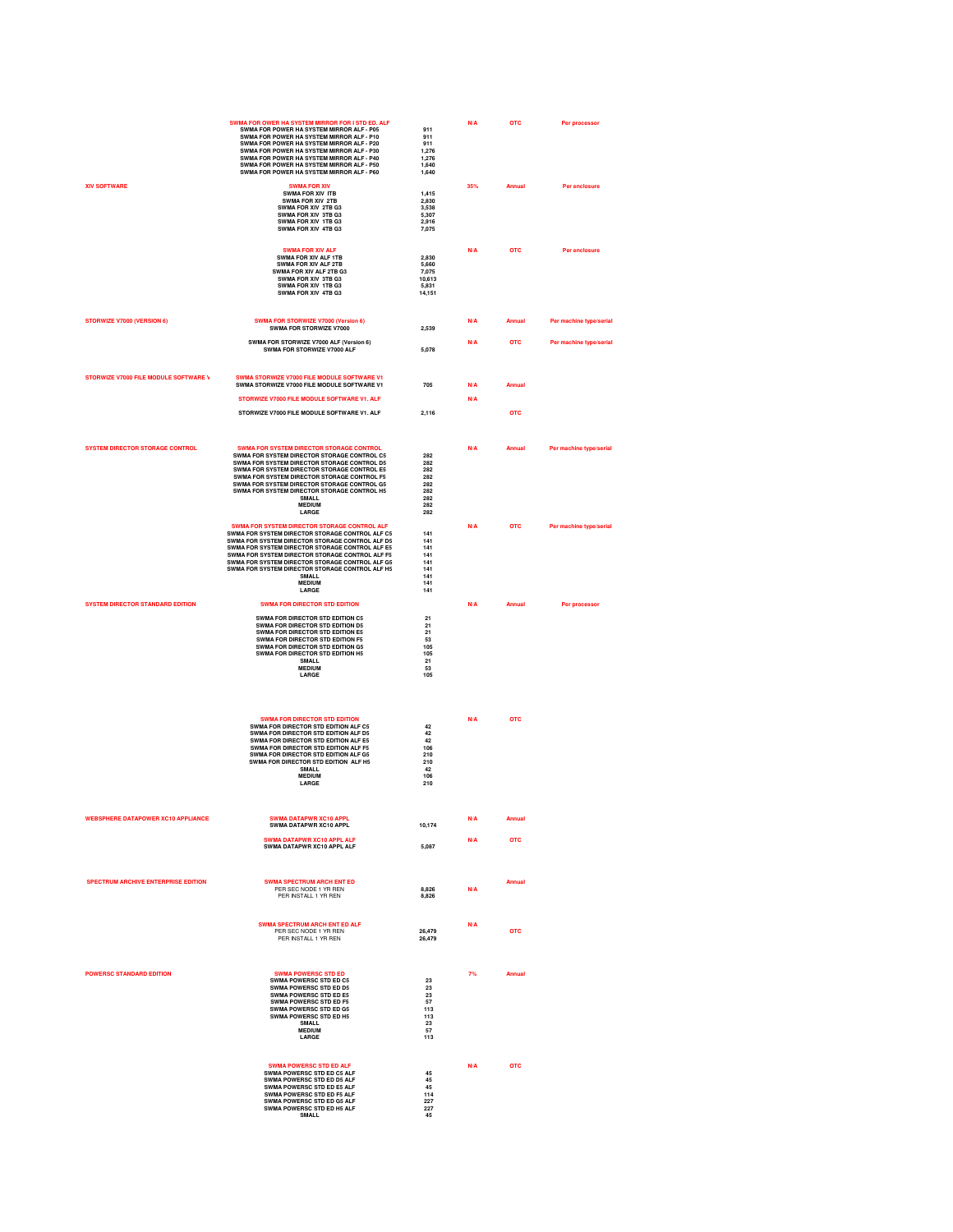|                                            | SWMA FOR OWER HA SYSTEM MIRROR FOR I STD ED. ALF<br>SWMA FOR POWER HA SYSTEM MIRROR ALF - P05<br>SWMA FOR POWER HA SYSTEM MIRROR ALF - P10<br>SWMA FOR POWER HA SYSTEM MIRROR ALF - P20<br>SWMA FOR POWER HA SYSTEM MIRROR ALF - P30<br>SWMA FOR POWER HA SYSTEM MIRROR ALF - P40<br>SWMA FOR POWER HA SYSTEM MIRROR ALF - P50<br>SWMA FOR POWER HA SYSTEM MIRROR ALF - P60                              | 911<br>911<br>911<br>1,276<br>1,276<br>1,640<br>1,640         | N/A | <b>OTC</b> | Per processor           |  |
|--------------------------------------------|----------------------------------------------------------------------------------------------------------------------------------------------------------------------------------------------------------------------------------------------------------------------------------------------------------------------------------------------------------------------------------------------------------|---------------------------------------------------------------|-----|------------|-------------------------|--|
| <b>XIV SOFTWARE</b>                        | <b>SWMA FOR XIV</b><br>SWMA FOR XIV ITB<br>SWMA FOR XIV 2TB<br>SWMA FOR XIV 2TB G3<br>SWMA FOR XIV 3TB G3<br>SWMA FOR XIV 1TB G3<br>SWMA FOR XIV 4TB G3                                                                                                                                                                                                                                                  | 1,415<br>2,830<br>3,538<br>5,307<br>2,916<br>7,075            | 35% | Annual     | Per enclosure           |  |
|                                            | <b>SWMA FOR XIV ALF</b><br>SWMA FOR XIV ALF 1TB<br>SWMA FOR XIV ALF 2TB<br>SWMA FOR XIV ALF 2TB G3<br>SWMA FOR XIV 3TB G3<br>SWMA FOR XIV 1TB G3<br>SWMA FOR XIV 4TB G3                                                                                                                                                                                                                                  | 2,830<br>5,660<br>7.075<br>10,613<br>5,831<br>14,151          | N/A | <b>OTC</b> | Per enclosure           |  |
| STORWIZE V7000 (VERSION 6)                 | SWMA FOR STORWIZE V7000 (Version 6)<br>SWMA FOR STORWIZE V7000                                                                                                                                                                                                                                                                                                                                           | 2,539                                                         | N/A | Annual     | Per machine type/serial |  |
|                                            | SWMA FOR STORWIZE V7000 ALF (Version 6)<br>SWMA FOR STORWIZE V7000 ALF                                                                                                                                                                                                                                                                                                                                   | 5,078                                                         | N/A | <b>OTC</b> | Per machine type/serial |  |
| STORWIZE V7000 FILE MODULE SOFTWARE \      | SWMA STORWIZE V7000 FILE MODULE SOFTWARE V1<br>SWMA STORWIZE V7000 FILE MODULE SOFTWARE V1                                                                                                                                                                                                                                                                                                               | 705                                                           | N/A | Annual     |                         |  |
|                                            | STORWIZE V7000 FILE MODULE SOFTWARE V1. ALF<br>STORWIZE V7000 FILE MODULE SOFTWARE V1. ALF                                                                                                                                                                                                                                                                                                               | 2,116                                                         | N/A | <b>OTC</b> |                         |  |
|                                            |                                                                                                                                                                                                                                                                                                                                                                                                          |                                                               |     |            |                         |  |
| <b>SYSTEM DIRECTOR STORAGE CONTROL</b>     | SWMA FOR SYSTEM DIRECTOR STORAGE CONTROL<br>SWMA FOR SYSTEM DIRECTOR STORAGE CONTROL C5<br>SWMA FOR SYSTEM DIRECTOR STORAGE CONTROL D5<br>SWMA FOR SYSTEM DIRECTOR STORAGE CONTROL E5<br>SWMA FOR SYSTEM DIRECTOR STORAGE CONTROL F5<br>SWMA FOR SYSTEM DIRECTOR STORAGE CONTROL G5<br>SWMA FOR SYSTEM DIRECTOR STORAGE CONTROL H5<br><b>SMALL</b><br><b>MEDIUM</b><br>LARGE                             | 282<br>282<br>282<br>282<br>282<br>282<br>282<br>282<br>282   | N/A | Annual     | Per machine type/serial |  |
|                                            | SWMA FOR SYSTEM DIRECTOR STORAGE CONTROL ALF<br>SWMA FOR SYSTEM DIRECTOR STORAGE CONTROL ALF C5<br>SWMA FOR SYSTEM DIRECTOR STORAGE CONTROL ALF D5<br>SWMA FOR SYSTEM DIRECTOR STORAGE CONTROL ALF E5<br>SWMA FOR SYSTEM DIRECTOR STORAGE CONTROL ALF F5<br>SWMA FOR SYSTEM DIRECTOR STORAGE CONTROL ALF G5<br>SWMA FOR SYSTEM DIRECTOR STORAGE CONTROL ALF H5<br><b>SMALL</b><br><b>MEDIUM</b><br>LARGE | 141<br>141<br>141<br>141<br>141<br>141<br>141<br>141<br>141   | N/A | <b>OTC</b> | Per machine type/serial |  |
| <b>SYSTEM DIRECTOR STANDARD EDITION</b>    | <b>SWMA FOR DIRECTOR STD EDITION</b>                                                                                                                                                                                                                                                                                                                                                                     |                                                               | N/A | Annual     | Per processor           |  |
|                                            | SWMA FOR DIRECTOR STD EDITION C5<br>SWMA FOR DIRECTOR STD EDITION D5<br>SWMA FOR DIRECTOR STD EDITION E5<br>SWMA FOR DIRECTOR STD EDITION F5<br>SWMA FOR DIRECTOR STD EDITION G5<br>SWMA FOR DIRECTOR STD EDITION H5<br><b>SMALL</b><br><b>MEDIUM</b><br>LARGE                                                                                                                                           | 21<br>21<br>${\bf 21}$<br>53<br>105<br>105<br>21<br>53<br>105 |     |            |                         |  |
|                                            | <b>SWMA FOR DIRECTOR STD EDITION</b><br>SWMA FOR DIRECTOR STD EDITION ALF C5<br>SWMA FOR DIRECTOR STD EDITION ALF D5<br>SWMA FOR DIRECTOR STD EDITION ALF E5<br>SWMA FOR DIRECTOR STD EDITION ALF F5<br>SWMA FOR DIRECTOR STD EDITION ALF G5<br>SWMA FOR DIRECTOR STD EDITION ALF H5<br><b>SMALL</b><br><b>MEDIUM</b><br>LARGE                                                                           | 42<br>42<br>42<br>106<br>210<br>210<br>42<br>106<br>210       | N/A | <b>OTC</b> |                         |  |
| <b>WEBSPHERE DATAPOWER XC10 APPLIANCE</b>  | <b>SWMA DATAPWR XC10 APPL</b><br>SWMA DATAPWR XC10 APPL                                                                                                                                                                                                                                                                                                                                                  | 10,174                                                        | N/A | Annual     |                         |  |
|                                            | SWMA DATAPWR XC10 APPL ALF<br>SWMA DATAPWR XC10 APPL ALF                                                                                                                                                                                                                                                                                                                                                 | 5,087                                                         | N/A | <b>OTC</b> |                         |  |
| <b>SPECTRUM ARCHIVE ENTERPRISE EDITION</b> | <b>SWMA SPECTRUM ARCH ENT ED</b><br>PER SEC NODE 1 YR REN<br>PER INSTALL 1 YR REN                                                                                                                                                                                                                                                                                                                        | 8,826<br>8,826                                                | N/A | Annual     |                         |  |
|                                            | SWMA SPECTRUM ARCH ENT ED ALF<br>PER SEC NODE 1 YR REN<br>PER INSTALL 1 YR REN                                                                                                                                                                                                                                                                                                                           | 26,479<br>26,479                                              | N/A | <b>OTC</b> |                         |  |
| <b>POWERSC STANDARD EDITION</b>            | <b>SWMA POWERSC STD ED</b><br>SWMA POWERSC STD ED C5<br>SWMA POWERSC STD ED D5<br>SWMA POWERSC STD ED E5<br>SWMA POWERSC STD ED F5<br>SWMA POWERSC STD ED G5<br>SWMA POWERSC STD ED H5<br><b>SMALL</b><br><b>MEDIUM</b><br>LARGE                                                                                                                                                                         | 23<br>23<br>23<br>57<br>113<br>113<br>23<br>57<br>113         | 7%  | Annual     |                         |  |
|                                            | SWMA POWERSC STD ED ALF<br>SWMA POWERSC STD ED C5 ALF<br>SWMA POWERSC STD ED D5 ALF<br>SWMA POWERSC STD ED E5 ALF<br>SWMA POWERSC STD ED F5 ALF<br>SWMA POWERSC STD ED G5 ALF<br>SWMA POWERSC STD ED H5 ALF<br><b>SMALL</b>                                                                                                                                                                              | 45<br>45<br>45<br>114<br>227<br>227<br>45                     | N/A | <b>OTC</b> |                         |  |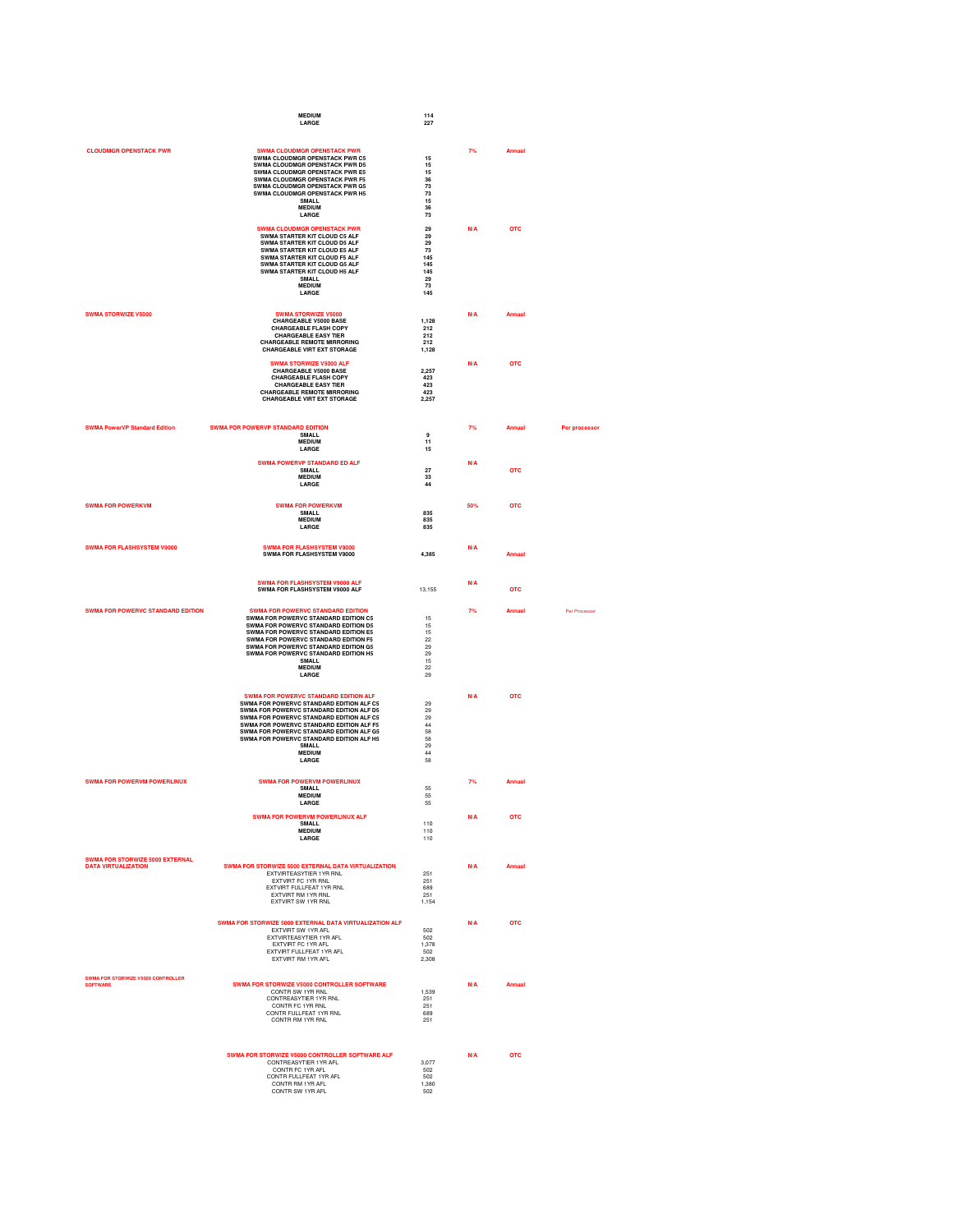|                                          | <b>MEDIUM</b><br>LARGE                                                               | 114<br>227   |     |               |               |  |
|------------------------------------------|--------------------------------------------------------------------------------------|--------------|-----|---------------|---------------|--|
|                                          |                                                                                      |              |     |               |               |  |
| <b>CLOUDMGR OPENSTACK PWR</b>            | <b>SWMA CLOUDMGR OPENSTACK PWR</b>                                                   |              | 7%  | Annual        |               |  |
|                                          | SWMA CLOUDMGR OPENSTACK PWR C5<br>SWMA CLOUDMGR OPENSTACK PWR D5                     | 15<br>15     |     |               |               |  |
|                                          | SWMA CLOUDMGR OPENSTACK PWR E5<br>SWMA CLOUDMGR OPENSTACK PWR F5                     | 15<br>36     |     |               |               |  |
|                                          | SWMA CLOUDMGR OPENSTACK PWR G5                                                       | 73           |     |               |               |  |
|                                          | SWMA CLOUDMGR OPENSTACK PWR H5<br><b>SMALL</b>                                       | 73<br>15     |     |               |               |  |
|                                          | <b>MEDIUM</b><br>LARGE                                                               | 36<br>73     |     |               |               |  |
|                                          | <b>SWMA CLOUDMGR OPENSTACK PWR</b>                                                   | 29           | N/A | <b>OTC</b>    |               |  |
|                                          | SWMA STARTER KIT CLOUD C5 ALF                                                        | 29           |     |               |               |  |
|                                          | SWMA STARTER KIT CLOUD D5 ALF<br>SWMA STARTER KIT CLOUD E5 ALF                       | 29<br>73     |     |               |               |  |
|                                          | SWMA STARTER KIT CLOUD F5 ALF<br>SWMA STARTER KIT CLOUD G5 ALF                       | 145<br>145   |     |               |               |  |
|                                          | SWMA STARTER KIT CLOUD H5 ALF<br><b>SMALL</b>                                        | 145<br>29    |     |               |               |  |
|                                          | <b>MEDIUM</b>                                                                        | 73           |     |               |               |  |
|                                          | LARGE                                                                                | 145          |     |               |               |  |
| <b>SWMA STORWIZE V5000</b>               | <b>SWMA STORWIZE V5000</b>                                                           |              | N/A | <b>Annual</b> |               |  |
|                                          | <b>CHARGEABLE V5000 BASE</b><br><b>CHARGEABLE FLASH COPY</b>                         | 1,128<br>212 |     |               |               |  |
|                                          | <b>CHARGEABLE EASY TIER</b><br><b>CHARGEABLE REMOTE MIRRORING</b>                    | 212<br>212   |     |               |               |  |
|                                          | <b>CHARGEABLE VIRT EXT STORAGE</b>                                                   | 1,128        |     |               |               |  |
|                                          | SWMA STORWIZE V5000 ALF                                                              |              | N/A | <b>OTC</b>    |               |  |
|                                          | CHARGEABLE V5000 BASE<br><b>CHARGEABLE FLASH COPY</b>                                | 2,257<br>423 |     |               |               |  |
|                                          | <b>CHARGEABLE EASY TIER</b><br><b>CHARGEABLE REMOTE MIRRORING</b>                    | 423<br>423   |     |               |               |  |
|                                          | <b>CHARGEABLE VIRT EXT STORAGE</b>                                                   | 2.257        |     |               |               |  |
|                                          |                                                                                      |              |     |               |               |  |
| <b>SWMA PowerVP Standard Edition</b>     | <b>SWMA FOR POWERVP STANDARD EDITION</b>                                             |              | 7%  | <b>Annual</b> | Per processor |  |
|                                          | <b>SMALL</b><br><b>MEDIUM</b>                                                        | 9<br>11      |     |               |               |  |
|                                          | LARGE                                                                                | 15           |     |               |               |  |
|                                          | SWMA POWERVP STANDARD ED ALF<br><b>SMALL</b>                                         | $\bf 27$     | N/A | <b>OTC</b>    |               |  |
|                                          | <b>MEDIUM</b>                                                                        | 33<br>44     |     |               |               |  |
|                                          | LARGE                                                                                |              |     |               |               |  |
| <b>SWMA FOR POWERKVM</b>                 | <b>SWMA FOR POWERKVM</b>                                                             |              | 50% | <b>OTC</b>    |               |  |
|                                          | <b>SMALL</b><br><b>MEDIUM</b>                                                        | 835<br>835   |     |               |               |  |
|                                          | LARGE                                                                                | 835          |     |               |               |  |
| <b>SWMA FOR FLASHSYSTEM V9000</b>        | <b>SWMA FOR FLASHSYSTEM V9000</b>                                                    |              | N/A |               |               |  |
|                                          | SWMA FOR FLASHSYSTEM V9000                                                           | 4,385        |     | <b>Annual</b> |               |  |
|                                          |                                                                                      |              |     |               |               |  |
|                                          | SWMA FOR FLASHSYSTEM V9000 ALF                                                       |              | N/A |               |               |  |
|                                          | SWMA FOR FLASHSYSTEM V9000 ALF                                                       | 13,155       |     | <b>OTC</b>    |               |  |
| <b>SWMA FOR POWERVC STANDARD EDITION</b> | <b>SWMA FOR POWERVC STANDARD EDITION</b>                                             |              | 7%  | <b>Annual</b> | Per Processor |  |
|                                          | SWMA FOR POWERVC STANDARD EDITION C5<br>SWMA FOR POWERVC STANDARD EDITION D5         | 15           |     |               |               |  |
|                                          | SWMA FOR POWERVC STANDARD EDITION E5                                                 | 15<br>15     |     |               |               |  |
|                                          | SWMA FOR POWERVC STANDARD EDITION F5<br>SWMA FOR POWERVC STANDARD EDITION G5         | 22<br>29     |     |               |               |  |
|                                          | SWMA FOR POWERVC STANDARD EDITION H5<br><b>SMALL</b>                                 | 29<br>15     |     |               |               |  |
|                                          | <b>MEDIUM</b>                                                                        | 22           |     |               |               |  |
|                                          | LARGE                                                                                | 29           |     |               |               |  |
|                                          | SWMA FOR POWERVC STANDARD EDITION ALF                                                |              | N/A | <b>OTC</b>    |               |  |
|                                          | SWMA FOR POWERVC STANDARD EDITION ALF C5<br>SWMA FOR POWERVC STANDARD EDITION ALF D5 | 29<br>29     |     |               |               |  |
|                                          | SWMA FOR POWERVC STANDARD EDITION ALF C5<br>SWMA FOR POWERVC STANDARD EDITION ALF F5 | 29           |     |               |               |  |
|                                          | SWMA FOR POWERVC STANDARD EDITION ALF G5                                             | 44<br>58     |     |               |               |  |
|                                          | SWMA FOR POWERVC STANDARD EDITION ALF H5<br><b>SMALL</b>                             | 58<br>29     |     |               |               |  |
|                                          | <b>MEDIUM</b><br>LARGE                                                               | 44<br>58     |     |               |               |  |
|                                          |                                                                                      |              |     |               |               |  |
| <b>SWMA FOR POWERVM POWERLINUX</b>       | <b>SWMA FOR POWERVM POWERLINUX</b>                                                   |              | 7%  | Annual        |               |  |
|                                          | <b>SMALL</b><br><b>MEDIUM</b>                                                        | 55<br>55     |     |               |               |  |
|                                          | LARGE                                                                                | 55           |     |               |               |  |
|                                          | <b>SWMA FOR POWERVM POWERLINUX ALF</b><br><b>SMALL</b>                               | 110          | N/A | <b>OTC</b>    |               |  |
|                                          | <b>MEDIUM</b><br>LARGE                                                               | 110<br>110   |     |               |               |  |
|                                          |                                                                                      |              |     |               |               |  |
| <b>SWMA FOR STORWIZE 5000 EXTERNAL</b>   |                                                                                      |              |     |               |               |  |
| <b>DATA VIRTUALIZATION</b>               | SWMA FOR STORWIZE 5000 EXTERNAL DATA VIRTUALIZATION<br>EXTVIRTEASYTIER 1YR RNL       | 251          | N/A | Annual        |               |  |
|                                          | EXTVIRT FC 1YR RNL<br>EXTVIRT FULLFEAT 1YR RNL                                       | 251<br>689   |     |               |               |  |
|                                          | EXTVIRT RM 1YR RNL<br>EXTVIRT SW 1YR RNL                                             | 251          |     |               |               |  |
|                                          |                                                                                      | 1,154        |     |               |               |  |
|                                          | SWMA FOR STORWIZE 5000 EXTERNAL DATA VIRTUALIZATION ALF                              |              | N/A | <b>OTC</b>    |               |  |
|                                          | EXTVIRT SW 1YR AFL<br>EXTVIRTEASYTIER 1YR AFL                                        | 502<br>502   |     |               |               |  |
|                                          | EXTVIRT FC 1YR AFL<br>EXTVIRT FULLFEAT 1YR AFL                                       | 1,378<br>502 |     |               |               |  |
|                                          | EXTVIRT RM 1YR AFL                                                                   | 2,308        |     |               |               |  |
| SWMA FOR STORWIZE V5000 CONTROLLER       |                                                                                      |              |     |               |               |  |
| <b>SOFTWARE</b>                          | SWMA FOR STORWIZE V5000 CONTROLLER SOFTWARE<br>CONTR SW 1YR RNL                      | 1,539        | N/A | Annual        |               |  |
|                                          | CONTREASYTIER 1YR RNL                                                                | 251          |     |               |               |  |
|                                          | CONTR FC 1YR RNL<br>CONTR FULLFEAT 1YR RNL                                           | 251<br>689   |     |               |               |  |
|                                          | CONTR RM 1YR RNL                                                                     | 251          |     |               |               |  |
|                                          |                                                                                      |              |     |               |               |  |
|                                          | SWMA FOR STORWIZE V5000 CONTROLLER SOFTWARE ALF                                      |              | N/A | <b>OTC</b>    |               |  |
|                                          | CONTREASYTIER 1YR AFL<br>CONTR FC 1YR AFL                                            | 3,077<br>502 |     |               |               |  |
|                                          | CONTR FULLFEAT 1YR AFL                                                               | 502          |     |               |               |  |
|                                          | CONTR RM 1YR AFL<br>CONTR SW 1YR AFL                                                 | 1,380<br>502 |     |               |               |  |